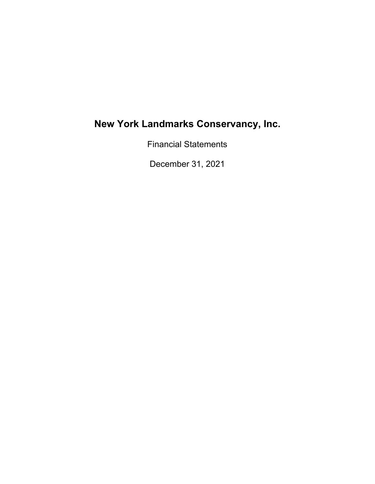Financial Statements

December 31, 2021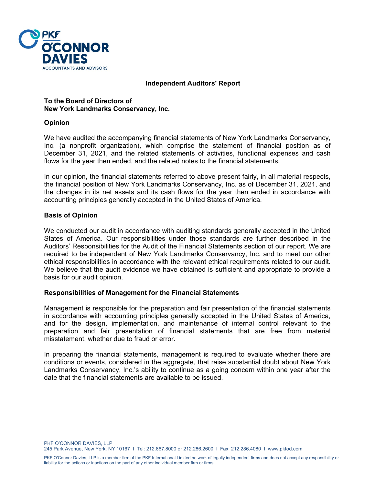

#### **Independent Auditors' Report**

**To the Board of Directors of New York Landmarks Conservancy, Inc.**

#### **Opinion**

We have audited the accompanying financial statements of New York Landmarks Conservancy, Inc. (a nonprofit organization), which comprise the statement of financial position as of December 31, 2021, and the related statements of activities, functional expenses and cash flows for the year then ended, and the related notes to the financial statements.

In our opinion, the financial statements referred to above present fairly, in all material respects, the financial position of New York Landmarks Conservancy, Inc. as of December 31, 2021, and the changes in its net assets and its cash flows for the year then ended in accordance with accounting principles generally accepted in the United States of America.

# **Basis of Opinion**

We conducted our audit in accordance with auditing standards generally accepted in the United States of America. Our responsibilities under those standards are further described in the Auditors' Responsibilities for the Audit of the Financial Statements section of our report. We are required to be independent of New York Landmarks Conservancy, Inc. and to meet our other ethical responsibilities in accordance with the relevant ethical requirements related to our audit. We believe that the audit evidence we have obtained is sufficient and appropriate to provide a basis for our audit opinion.

#### **Responsibilities of Management for the Financial Statements**

Management is responsible for the preparation and fair presentation of the financial statements in accordance with accounting principles generally accepted in the United States of America, and for the design, implementation, and maintenance of internal control relevant to the preparation and fair presentation of financial statements that are free from material misstatement, whether due to fraud or error.

In preparing the financial statements, management is required to evaluate whether there are conditions or events, considered in the aggregate, that raise substantial doubt about New York Landmarks Conservancy, Inc.'s ability to continue as a going concern within one year after the date that the financial statements are available to be issued.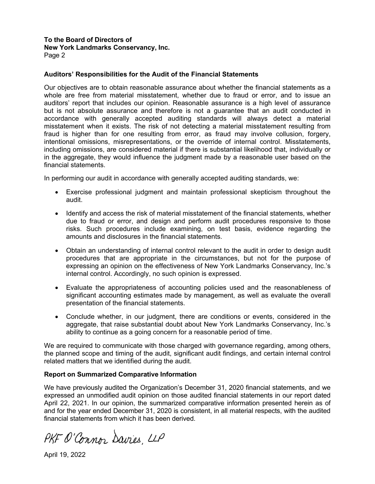# **To the Board of Directors of**

**New York Landmarks Conservancy, Inc.** 

Page 2

# **Auditors' Responsibilities for the Audit of the Financial Statements**

Our objectives are to obtain reasonable assurance about whether the financial statements as a whole are free from material misstatement, whether due to fraud or error, and to issue an auditors' report that includes our opinion. Reasonable assurance is a high level of assurance but is not absolute assurance and therefore is not a guarantee that an audit conducted in accordance with generally accepted auditing standards will always detect a material misstatement when it exists. The risk of not detecting a material misstatement resulting from fraud is higher than for one resulting from error, as fraud may involve collusion, forgery, intentional omissions, misrepresentations, or the override of internal control. Misstatements, including omissions, are considered material if there is substantial likelihood that, individually or in the aggregate, they would influence the judgment made by a reasonable user based on the financial statements.

In performing our audit in accordance with generally accepted auditing standards, we:

- Exercise professional judgment and maintain professional skepticism throughout the audit.
- Identify and access the risk of material misstatement of the financial statements, whether due to fraud or error, and design and perform audit procedures responsive to those risks. Such procedures include examining, on test basis, evidence regarding the amounts and disclosures in the financial statements.
- Obtain an understanding of internal control relevant to the audit in order to design audit procedures that are appropriate in the circumstances, but not for the purpose of expressing an opinion on the effectiveness of New York Landmarks Conservancy, Inc.'s internal control. Accordingly, no such opinion is expressed.
- Evaluate the appropriateness of accounting policies used and the reasonableness of significant accounting estimates made by management, as well as evaluate the overall presentation of the financial statements.
- Conclude whether, in our judgment, there are conditions or events, considered in the aggregate, that raise substantial doubt about New York Landmarks Conservancy, Inc.'s ability to continue as a going concern for a reasonable period of time.

We are required to communicate with those charged with governance regarding, among others, the planned scope and timing of the audit, significant audit findings, and certain internal control related matters that we identified during the audit.

# **Report on Summarized Comparative Information**

We have previously audited the Organization's December 31, 2020 financial statements, and we expressed an unmodified audit opinion on those audited financial statements in our report dated April 22, 2021. In our opinion, the summarized comparative information presented herein as of and for the year ended December 31, 2020 is consistent, in all material respects, with the audited financial statements from which it has been derived.

PKF O'Connor Davies, LLP

April 19, 2022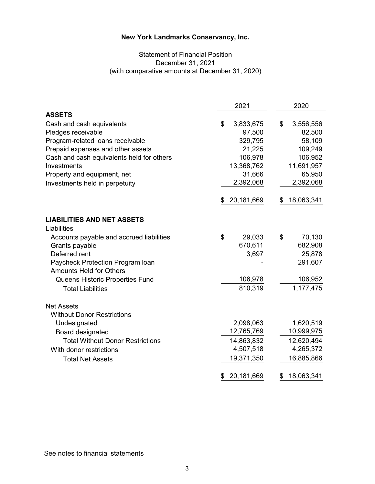#### **New York Landmarks Conservancy, Inc. New York Landmarks Conservancy, Inc.**

# Statement of Financial Position Statement of Financial Position December 31, 2020 December 31, 2021 (with comparative amounts at December 31, 2020)

|                                           | 2021             | 2020             |
|-------------------------------------------|------------------|------------------|
| <b>ASSETS</b>                             |                  |                  |
| Cash and cash equivalents                 | \$<br>3,833,675  | \$<br>3,556,556  |
| Pledges receivable                        | 97,500           | 82,500           |
| Program-related loans receivable          | 329,795          | 58,109           |
| Prepaid expenses and other assets         | 21,225           | 109,249          |
| Cash and cash equivalents held for others | 106,978          | 106,952          |
| Investments                               | 13,368,762       | 11,691,957       |
| Property and equipment, net               | 31,666           | 65,950           |
| Investments held in perpetuity            | 2,392,068        | 2,392,068        |
|                                           | 20,181,669<br>\$ | 18,063,341<br>\$ |
| <b>LIABILITIES AND NET ASSETS</b>         |                  |                  |
| Liabilities                               |                  |                  |
| Accounts payable and accrued liabilities  | \$<br>29,033     | \$<br>70,130     |
| Grants payable                            | 670,611          | 682,908          |
| Deferred rent                             | 3,697            | 25,878           |
| Paycheck Protection Program Ioan          |                  | 291,607          |
| <b>Amounts Held for Others</b>            |                  |                  |
| Queens Historic Properties Fund           | 106,978          | 106,952          |
| <b>Total Liabilities</b>                  | 810,319          | 1,177,475        |
| <b>Net Assets</b>                         |                  |                  |
| <b>Without Donor Restrictions</b>         |                  |                  |
| Undesignated                              | 2,098,063        | 1,620,519        |
| Board designated                          | 12,765,769       | 10,999,975       |
| <b>Total Without Donor Restrictions</b>   | 14,863,832       | 12,620,494       |
| With donor restrictions                   | 4,507,518        | 4,265,372        |
| <b>Total Net Assets</b>                   | 19,371,350       | 16,885,866       |
|                                           | 20,181,669<br>\$ | 18,063,341<br>\$ |
|                                           |                  |                  |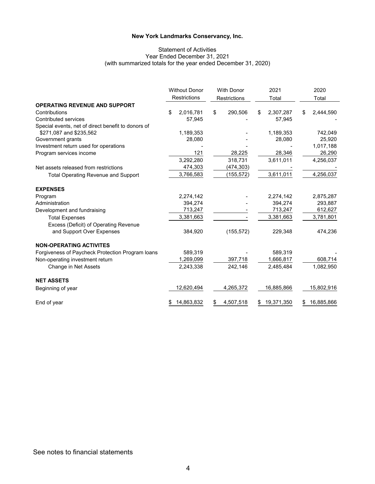#### **New York Landmarks Conservancy, Inc. New York Landmarks Conservancy, Inc.**

#### Statement of Activities<br>31 Star Ended December 31 St ized totals for the year ended Deceml Statement of Activities Year Ended December 31, 2021 (with summarized totals for the year ended December 31, 2020)

|                                                    | <b>Without Donor</b><br><b>Restrictions</b> | <b>With Donor</b><br>Restrictions | 2021<br>Total   | 2020<br>Total   |
|----------------------------------------------------|---------------------------------------------|-----------------------------------|-----------------|-----------------|
| <b>OPERATING REVENUE AND SUPPORT</b>               |                                             |                                   |                 |                 |
| Contributions                                      | \$<br>2,016,781                             | \$<br>290,506                     | \$<br>2,307,287 | \$<br>2,444,590 |
| <b>Contributed services</b>                        | 57,945                                      |                                   | 57,945          |                 |
| Special events, net of direct benefit to donors of |                                             |                                   |                 |                 |
| \$271,087 and \$235,562                            | 1,189,353                                   |                                   | 1,189,353       | 742,049         |
| Government grants                                  | 28,080                                      |                                   | 28,080          | 25.920          |
| Investment return used for operations              |                                             |                                   |                 | 1,017,188       |
| Program services income                            | 121                                         | 28,225                            | 28,346          | 26,290          |
|                                                    | 3,292,280                                   | 318,731                           | 3,611,011       | 4,256,037       |
| Net assets released from restrictions              | 474,303                                     | (474, 303)                        |                 |                 |
| <b>Total Operating Revenue and Support</b>         | 3,766,583                                   | (155, 572)                        | 3,611,011       | 4,256,037       |
| <b>EXPENSES</b>                                    |                                             |                                   |                 |                 |
| Program                                            | 2,274,142                                   |                                   | 2,274,142       | 2,875,287       |
| Administration                                     | 394,274                                     |                                   | 394,274         | 293,887         |
| Development and fundraising                        | 713,247                                     |                                   | 713,247         | 612,627         |
| <b>Total Expenses</b>                              | 3,381,663                                   |                                   | 3,381,663       | 3,781,801       |
| Excess (Deficit) of Operating Revenue              |                                             |                                   |                 |                 |
| and Support Over Expenses                          | 384,920                                     | (155, 572)                        | 229,348         | 474,236         |
| <b>NON-OPERATING ACTIVITES</b>                     |                                             |                                   |                 |                 |
| Forgiveness of Paycheck Protection Program loans   | 589.319                                     |                                   | 589.319         |                 |
| Non-operating investment return                    | 1,269,099                                   | 397,718                           | 1,666,817       | 608,714         |
| Change in Net Assets                               | 2,243,338                                   | 242,146                           | 2,485,484       | 1,082,950       |
| <b>NET ASSETS</b>                                  |                                             |                                   |                 |                 |
| Beginning of year                                  | 12,620,494                                  | 4,265,372                         | 16,885,866      | 15,802,916      |
| End of year                                        | 14,863,832                                  | \$<br>4,507,518                   | 19,371,350      | 16,885,866      |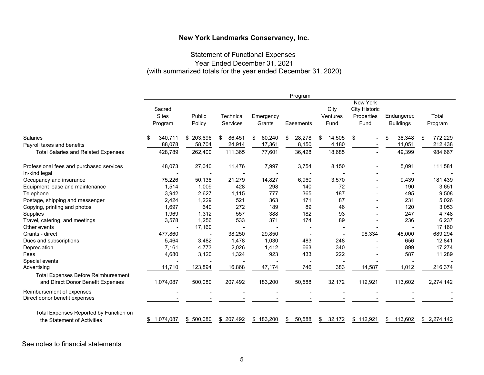#### **New York Landmarks Conservancy, Inc. New York Landmarks Conservancy, Inc.**

# Statement of Functional Expenses Statement of Functional Expenses Year Ended December 31, 2020 Year Ended December 31, 2021 (with summarized totals for the year ended December 31, 2020)

|                                                                                 |                                   |                  |                              |                     | Program      |                          |                                                               |                                |                  |
|---------------------------------------------------------------------------------|-----------------------------------|------------------|------------------------------|---------------------|--------------|--------------------------|---------------------------------------------------------------|--------------------------------|------------------|
|                                                                                 | Sacred<br><b>Sites</b><br>Program | Public<br>Policy | Technical<br><b>Services</b> | Emergency<br>Grants | Easements    | City<br>Ventures<br>Fund | <b>New York</b><br><b>City Historic</b><br>Properties<br>Fund | Endangered<br><b>Buildings</b> | Total<br>Program |
| <b>Salaries</b>                                                                 | 340,711                           | \$ 203,696       | 86,451<br>\$                 | 60,240<br>\$        | 28,278<br>\$ | \$<br>14,505             | \$                                                            | 38,348<br>\$                   | 772,229<br>\$    |
| Payroll taxes and benefits                                                      | 88,078                            | 58,704           | 24,914                       | 17,361              | 8,150        | 4,180                    | $\blacksquare$                                                | 11,051                         | 212,438          |
| <b>Total Salaries and Related Expenses</b>                                      | 428,789                           | 262,400          | 111,365                      | 77,601              | 36,428       | 18,685                   | $\blacksquare$                                                | 49,399                         | 984,667          |
| Professional fees and purchased services<br>In-kind legal                       | 48,073                            | 27,040           | 11,476                       | 7,997               | 3,754        | 8,150                    | $\overline{\phantom{a}}$                                      | 5,091                          | 111,581          |
| Occupancy and insurance                                                         | 75,226                            | 50,138           | 21,279                       | 14,827              | 6,960        | 3,570                    | $\blacksquare$                                                | 9,439                          | 181,439          |
| Equipment lease and maintenance                                                 | 1,514                             | 1,009            | 428                          | 298                 | 140          | 72                       |                                                               | 190                            | 3,651            |
| Telephone                                                                       | 3,942                             | 2,627            | 1,115                        | 777                 | 365          | 187                      |                                                               | 495                            | 9,508            |
| Postage, shipping and messenger                                                 | 2,424                             | 1,229            | 521                          | 363                 | 171          | 87                       |                                                               | 231                            | 5,026            |
| Copying, printing and photos                                                    | 1,697                             | 640              | 272                          | 189                 | 89           | 46                       |                                                               | 120                            | 3,053            |
| Supplies                                                                        | 1,969                             | 1,312            | 557                          | 388                 | 182          | 93                       |                                                               | 247                            | 4,748            |
| Travel, catering, and meetings                                                  | 3,578                             | 1,256            | 533                          | 371                 | 174          | 89                       |                                                               | 236                            | 6,237            |
| Other events                                                                    |                                   | 17,160           |                              |                     |              |                          |                                                               |                                | 17,160           |
| Grants - direct                                                                 | 477,860                           |                  | 38,250                       | 29,850              |              | $\blacksquare$           | 98,334                                                        | 45,000                         | 689,294          |
| Dues and subscriptions                                                          | 5,464                             | 3,482            | 1,478                        | 1,030               | 483          | 248                      |                                                               | 656                            | 12,841           |
| Depreciation                                                                    | 7,161                             | 4,773            | 2,026                        | 1,412               | 663          | 340                      |                                                               | 899                            | 17,274           |
| Fees                                                                            | 4,680                             | 3,120            | 1,324                        | 923                 | 433          | 222                      |                                                               | 587                            | 11,289           |
| Special events                                                                  |                                   |                  |                              |                     |              |                          |                                                               |                                |                  |
| Advertising                                                                     | 11,710                            | 123,894          | 16,868                       | 47,174              | 746          | 383                      | 14,587                                                        | 1,012                          | 216,374          |
| <b>Total Expenses Before Reimbursement</b><br>and Direct Donor Benefit Expenses | 1,074,087                         | 500,080          | 207,492                      | 183,200             | 50,588       | 32,172                   | 112,921                                                       | 113,602                        | 2,274,142        |
| Reimbursement of expenses<br>Direct donor benefit expenses                      |                                   |                  |                              |                     |              |                          |                                                               |                                |                  |
| Total Expenses Reported by Function on<br>the Statement of Activities           | 1,074,087<br>S.                   | 500,080<br>\$    | 207,492<br>\$                | 183,200<br>\$       | 50,588<br>S  | \$<br>32,172             | \$112,921                                                     | 113,602<br>\$                  | \$2,274,142      |

See notes to financial statements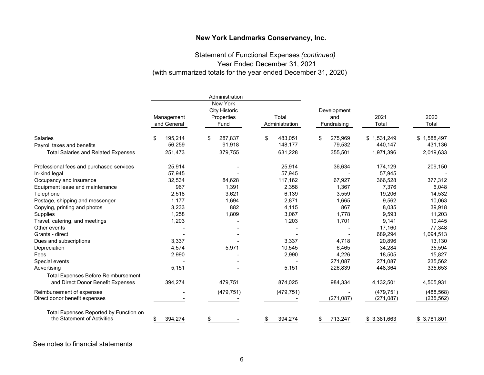#### **New York Landmarks Conservancy, Inc. New York Landmarks Conservancy, Inc.**

# Statement of Functional Expenses Statement of Functional Expenses *(continued)*  Year Ended December 31, 2020 Year Ended December 31, 2021 (with summarized totals for the year ended December 31, 2020)

|                                            |                           | Administration                                         |                         |                                   |               |               |
|--------------------------------------------|---------------------------|--------------------------------------------------------|-------------------------|-----------------------------------|---------------|---------------|
|                                            | Management<br>and General | New York<br><b>City Historic</b><br>Properties<br>Fund | Total<br>Administration | Development<br>and<br>Fundraising | 2021<br>Total | 2020<br>Total |
| <b>Salaries</b>                            | 195,214<br>S              | 287,837<br>\$                                          | 483,051<br>\$           | 275,969<br>\$                     | \$1,531,249   | \$1,588,497   |
| Payroll taxes and benefits                 | 56,259                    | 91,918                                                 | 148,177                 | 79,532                            | 440,147       | 431,136       |
| <b>Total Salaries and Related Expenses</b> | 251,473                   | 379,755                                                | 631,228                 | 355,501                           | 1,971,396     | 2,019,633     |
| Professional fees and purchased services   | 25,914                    |                                                        | 25,914                  | 36,634                            | 174,129       | 209,150       |
| In-kind legal                              | 57,945                    |                                                        | 57,945                  |                                   | 57,945        |               |
| Occupancy and insurance                    | 32,534                    | 84,628                                                 | 117,162                 | 67,927                            | 366,528       | 377,312       |
| Equipment lease and maintenance            | 967                       | 1,391                                                  | 2,358                   | 1,367                             | 7,376         | 6,048         |
| Telephone                                  | 2,518                     | 3,621                                                  | 6,139                   | 3,559                             | 19,206        | 14,532        |
| Postage, shipping and messenger            | 1,177                     | 1,694                                                  | 2,871                   | 1,665                             | 9,562         | 10,063        |
| Copying, printing and photos               | 3,233                     | 882                                                    | 4,115                   | 867                               | 8,035         | 39,918        |
| Supplies                                   | 1,258                     | 1,809                                                  | 3,067                   | 1,778                             | 9,593         | 11,203        |
| Travel, catering, and meetings             | 1,203                     |                                                        | 1,203                   | 1,701                             | 9,141         | 10,445        |
| Other events                               |                           |                                                        |                         |                                   | 17,160        | 77,348        |
| Grants - direct                            |                           |                                                        |                         |                                   | 689,294       | 1,094,513     |
| Dues and subscriptions                     | 3,337                     |                                                        | 3,337                   | 4,718                             | 20,896        | 13,130        |
| Depreciation                               | 4,574                     | 5,971                                                  | 10,545                  | 6,465                             | 34,284        | 35,594        |
| Fees                                       | 2,990                     |                                                        | 2,990                   | 4,226                             | 18,505        | 15,827        |
| Special events                             |                           |                                                        |                         | 271,087                           | 271,087       | 235,562       |
| Advertising                                | 5,151                     |                                                        | 5,151                   | 226,839                           | 448,364       | 335,653       |
| <b>Total Expenses Before Reimbursement</b> |                           |                                                        |                         |                                   |               |               |
| and Direct Donor Benefit Expenses          | 394,274                   | 479,751                                                | 874,025                 | 984,334                           | 4,132,501     | 4,505,931     |
| Reimbursement of expenses                  |                           | (479, 751)                                             | (479, 751)              |                                   | (479, 751)    | (488, 568)    |
| Direct donor benefit expenses              |                           |                                                        |                         | (271, 087)                        | (271, 087)    | (235, 562)    |
| Total Expenses Reported by Function on     |                           |                                                        |                         |                                   |               |               |
| the Statement of Activities                | 394,274                   | \$                                                     | 394,274                 | 713,247<br>\$                     | \$3,381,663   | \$3,781,801   |

See notes to financial statements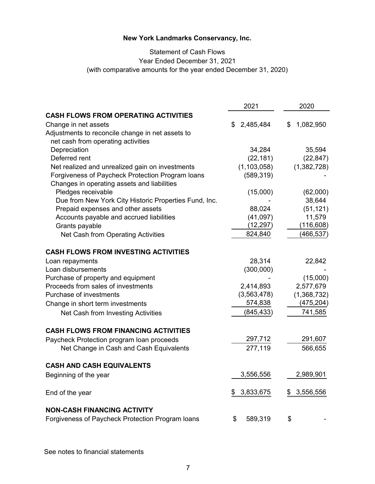# **New York Landmarks Conservancy, Inc. New York Landmarks Conservancy, Inc.**

# Statement of Cash Flows Statement of Cash Flows Year Ended December 31, 2020 Year Ended December 31, 2021 (with comparative amounts for the year ended December 31, 2020)

|                                                       | 2021            | 2020            |
|-------------------------------------------------------|-----------------|-----------------|
| <b>CASH FLOWS FROM OPERATING ACTIVITIES</b>           |                 |                 |
| Change in net assets                                  | 2,485,484<br>S. | 1,082,950<br>\$ |
| Adjustments to reconcile change in net assets to      |                 |                 |
| net cash from operating activities                    |                 |                 |
| Depreciation                                          | 34,284          | 35,594          |
| Deferred rent                                         | (22, 181)       | (22, 847)       |
| Net realized and unrealized gain on investments       | (1, 103, 058)   | (1,382,728)     |
| Forgiveness of Paycheck Protection Program Ioans      | (589, 319)      |                 |
| Changes in operating assets and liabilities           |                 |                 |
| Pledges receivable                                    | (15,000)        | (62,000)        |
| Due from New York City Historic Properties Fund, Inc. |                 | 38,644          |
| Prepaid expenses and other assets                     | 88,024          | (51, 121)       |
| Accounts payable and accrued liabilities              | (41,097)        | 11,579          |
| Grants payable                                        | (12, 297)       | (116, 608)      |
| Net Cash from Operating Activities                    | 824,840         | (466, 537)      |
| <b>CASH FLOWS FROM INVESTING ACTIVITIES</b>           |                 |                 |
| Loan repayments                                       | 28,314          | 22,842          |
| Loan disbursements                                    | (300,000)       |                 |
| Purchase of property and equipment                    |                 | (15,000)        |
| Proceeds from sales of investments                    | 2,414,893       | 2,577,679       |
| Purchase of investments                               | (3, 563, 478)   | (1,368,732)     |
| Change in short term investments                      | 574,838         | (475, 204)      |
| Net Cash from Investing Activities                    | (845, 433)      | 741,585         |
| <b>CASH FLOWS FROM FINANCING ACTIVITIES</b>           |                 |                 |
|                                                       | 297,712         | 291,607         |
| Paycheck Protection program loan proceeds             |                 |                 |
| Net Change in Cash and Cash Equivalents               | 277,119         | 566,655         |
| <b>CASH AND CASH EQUIVALENTS</b>                      |                 |                 |
| Beginning of the year                                 | 3,556,556       | 2,989,901       |
| End of the year                                       | 3,833,675<br>\$ | 3,556,556<br>\$ |
| NON-CASH FINANCING ACTIVITY                           |                 |                 |
| Forgiveness of Paycheck Protection Program loans      | \$<br>589,319   | \$              |

See notes to financial statements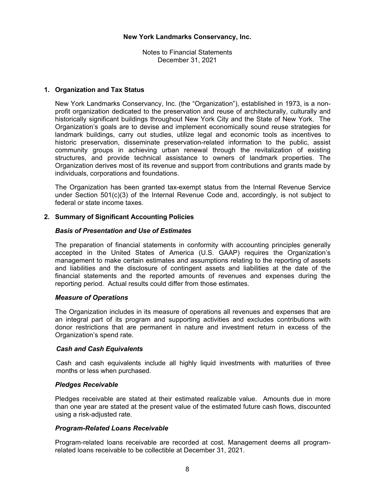Notes to Financial Statements December 31, 2021

#### **1. Organization and Tax Status**

 New York Landmarks Conservancy, Inc. (the "Organization"), established in 1973, is a nonprofit organization dedicated to the preservation and reuse of architecturally, culturally and historically significant buildings throughout New York City and the State of New York. The Organization's goals are to devise and implement economically sound reuse strategies for landmark buildings, carry out studies, utilize legal and economic tools as incentives to historic preservation, disseminate preservation-related information to the public, assist community groups in achieving urban renewal through the revitalization of existing structures, and provide technical assistance to owners of landmark properties. The Organization derives most of its revenue and support from contributions and grants made by individuals, corporations and foundations.

 The Organization has been granted tax-exempt status from the Internal Revenue Service under Section  $501(c)(3)$  of the Internal Revenue Code and, accordingly, is not subject to federal or state income taxes.

# **2. Summary of Significant Accounting Policies**

#### *Basis of Presentation and Use of Estimates*

 The preparation of financial statements in conformity with accounting principles generally accepted in the United States of America (U.S. GAAP) requires the Organization's management to make certain estimates and assumptions relating to the reporting of assets and liabilities and the disclosure of contingent assets and liabilities at the date of the financial statements and the reported amounts of revenues and expenses during the reporting period. Actual results could differ from those estimates.

#### *Measure of Operations*

The Organization includes in its measure of operations all revenues and expenses that are an integral part of its program and supporting activities and excludes contributions with donor restrictions that are permanent in nature and investment return in excess of the Organization's spend rate.

#### *Cash and Cash Equivalents*

Cash and cash equivalents include all highly liquid investments with maturities of three months or less when purchased.

#### *Pledges Receivable*

Pledges receivable are stated at their estimated realizable value. Amounts due in more than one year are stated at the present value of the estimated future cash flows, discounted using a risk-adjusted rate.

#### *Program-Related Loans Receivable*

Program-related loans receivable are recorded at cost. Management deems all programrelated loans receivable to be collectible at December 31, 2021.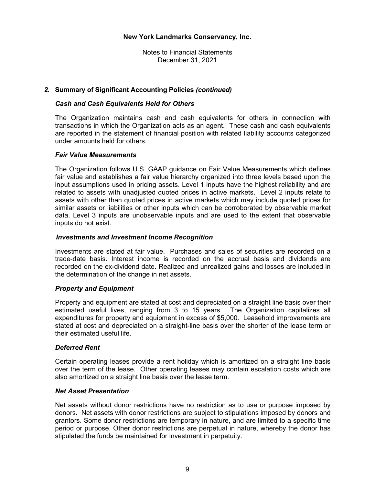Notes to Financial Statements December 31, 2021

#### *2.* **Summary of Significant Accounting Policies** *(continued)*

#### *Cash and Cash Equivalents Held for Others*

The Organization maintains cash and cash equivalents for others in connection with transactions in which the Organization acts as an agent. These cash and cash equivalents are reported in the statement of financial position with related liability accounts categorized under amounts held for others.

#### *Fair Value Measurements*

The Organization follows U.S. GAAP guidance on Fair Value Measurements which defines fair value and establishes a fair value hierarchy organized into three levels based upon the input assumptions used in pricing assets. Level 1 inputs have the highest reliability and are related to assets with unadjusted quoted prices in active markets. Level 2 inputs relate to assets with other than quoted prices in active markets which may include quoted prices for similar assets or liabilities or other inputs which can be corroborated by observable market data. Level 3 inputs are unobservable inputs and are used to the extent that observable inputs do not exist.

#### *Investments and Investment Income Recognition*

Investments are stated at fair value. Purchases and sales of securities are recorded on a trade-date basis. Interest income is recorded on the accrual basis and dividends are recorded on the ex-dividend date. Realized and unrealized gains and losses are included in the determination of the change in net assets.

#### *Property and Equipment*

Property and equipment are stated at cost and depreciated on a straight line basis over their estimated useful lives, ranging from 3 to 15 years. The Organization capitalizes all expenditures for property and equipment in excess of \$5,000. Leasehold improvements are stated at cost and depreciated on a straight-line basis over the shorter of the lease term or their estimated useful life.

#### *Deferred Rent*

Certain operating leases provide a rent holiday which is amortized on a straight line basis over the term of the lease. Other operating leases may contain escalation costs which are also amortized on a straight line basis over the lease term.

#### *Net Asset Presentation*

Net assets without donor restrictions have no restriction as to use or purpose imposed by donors. Net assets with donor restrictions are subject to stipulations imposed by donors and grantors. Some donor restrictions are temporary in nature, and are limited to a specific time period or purpose. Other donor restrictions are perpetual in nature, whereby the donor has stipulated the funds be maintained for investment in perpetuity.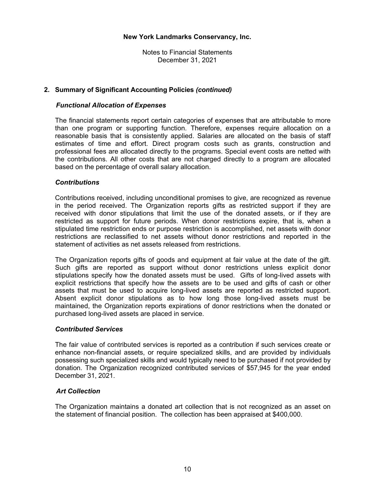Notes to Financial Statements December 31, 2021

# **2. Summary of Significant Accounting Policies** *(continued)*

#### *Functional Allocation of Expenses*

The financial statements report certain categories of expenses that are attributable to more than one program or supporting function. Therefore, expenses require allocation on a reasonable basis that is consistently applied. Salaries are allocated on the basis of staff estimates of time and effort. Direct program costs such as grants, construction and professional fees are allocated directly to the programs. Special event costs are netted with the contributions. All other costs that are not charged directly to a program are allocated based on the percentage of overall salary allocation.

#### *Contributions*

Contributions received, including unconditional promises to give, are recognized as revenue in the period received. The Organization reports gifts as restricted support if they are received with donor stipulations that limit the use of the donated assets, or if they are restricted as support for future periods. When donor restrictions expire, that is, when a stipulated time restriction ends or purpose restriction is accomplished, net assets with donor restrictions are reclassified to net assets without donor restrictions and reported in the statement of activities as net assets released from restrictions.

The Organization reports gifts of goods and equipment at fair value at the date of the gift. Such gifts are reported as support without donor restrictions unless explicit donor stipulations specify how the donated assets must be used. Gifts of long-lived assets with explicit restrictions that specify how the assets are to be used and gifts of cash or other assets that must be used to acquire long-lived assets are reported as restricted support. Absent explicit donor stipulations as to how long those long-lived assets must be maintained, the Organization reports expirations of donor restrictions when the donated or purchased long-lived assets are placed in service.

#### *Contributed Services*

The fair value of contributed services is reported as a contribution if such services create or enhance non-financial assets, or require specialized skills, and are provided by individuals possessing such specialized skills and would typically need to be purchased if not provided by donation. The Organization recognized contributed services of \$57,945 for the year ended December 31, 2021.

#### *Art Collection*

The Organization maintains a donated art collection that is not recognized as an asset on the statement of financial position. The collection has been appraised at \$400,000.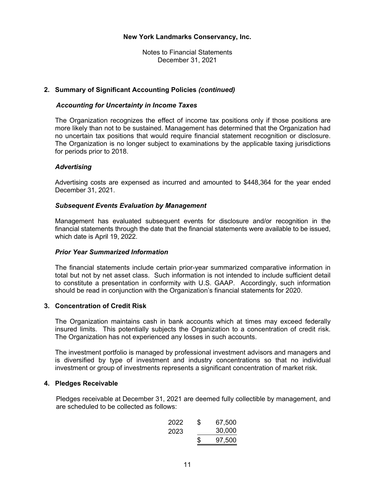Notes to Financial Statements December 31, 2021

#### **2. Summary of Significant Accounting Policies** *(continued)*

#### *Accounting for Uncertainty in Income Taxes*

The Organization recognizes the effect of income tax positions only if those positions are more likely than not to be sustained. Management has determined that the Organization had no uncertain tax positions that would require financial statement recognition or disclosure. The Organization is no longer subject to examinations by the applicable taxing jurisdictions for periods prior to 2018.

#### *Advertising*

Advertising costs are expensed as incurred and amounted to \$448,364 for the year ended December 31, 2021.

#### *Subsequent Events Evaluation by Management*

Management has evaluated subsequent events for disclosure and/or recognition in the financial statements through the date that the financial statements were available to be issued, which date is April 19, 2022.

#### *Prior Year Summarized Information*

The financial statements include certain prior-year summarized comparative information in total but not by net asset class. Such information is not intended to include sufficient detail to constitute a presentation in conformity with U.S. GAAP. Accordingly, such information should be read in conjunction with the Organization's financial statements for 2020.

# **3. Concentration of Credit Risk**

 The Organization maintains cash in bank accounts which at times may exceed federally insured limits. This potentially subjects the Organization to a concentration of credit risk. The Organization has not experienced any losses in such accounts.

 The investment portfolio is managed by professional investment advisors and managers and is diversified by type of investment and industry concentrations so that no individual investment or group of investments represents a significant concentration of market risk.

#### **4. Pledges Receivable**

 Pledges receivable at December 31, 2021 are deemed fully collectible by management, and are scheduled to be collected as follows:

2022 67,500 \$ 2023 30,000 \$ 97,500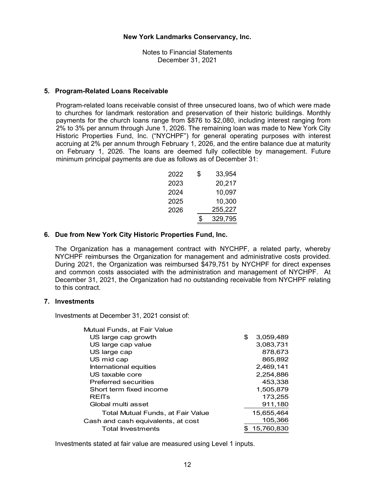# **5. Program-Related Loans Receivable**

 Program-related loans receivable consist of three unsecured loans, two of which were made to churches for landmark restoration and preservation of their historic buildings. Monthly payments for the church loans range from \$876 to \$2,080, including interest ranging from 2% to 3% per annum through June 1, 2026. The remaining loan was made to New York City Historic Properties Fund, Inc. ("NYCHPF") for general operating purposes with interest accruing at 2% per annum through February 1, 2026, and the entire balance due at maturity on February 1, 2026. The loans are deemed fully collectible by management. Future minimum principal payments are due as follows as of December 31:

| 2022 | S  | 33,954  |
|------|----|---------|
| 2023 |    | 20,217  |
| 2024 |    | 10,097  |
| 2025 |    | 10,300  |
| 2026 |    | 255,227 |
|      | \$ | 329,795 |

# **6. Due from New York City Historic Properties Fund, Inc.**

The Organization has a management contract with NYCHPF, a related party, whereby NYCHPF reimburses the Organization for management and administrative costs provided. During 2021, the Organization was reimbursed \$479,751 by NYCHPF for direct expenses and common costs associated with the administration and management of NYCHPF. At December 31, 2021, the Organization had no outstanding receivable from NYCHPF relating to this contract.

#### **7. Investments**

Investments at December 31, 2021 consist of:

| Mutual Funds, at Fair Value        |                 |
|------------------------------------|-----------------|
| US large cap growth                | \$<br>3,059,489 |
| US large cap value                 | 3.083.731       |
| US large cap                       | 878,673         |
| US mid cap                         | 865,892         |
| International equities             | 2,469,141       |
| US taxable core                    | 2,254,886       |
| <b>Preferred securities</b>        | 453,338         |
| Short term fixed income            | 1.505.879       |
| <b>REITS</b>                       | 173,255         |
| Global multi asset                 | 911,180         |
| Total Mutual Funds, at Fair Value  | 15,655,464      |
| Cash and cash equivalents, at cost | 105,366         |
| <b>Total Investments</b>           | 15.760.830      |

Investments stated at fair value are measured using Level 1 inputs.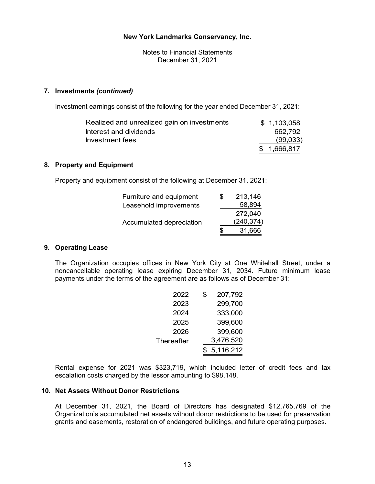Notes to Financial Statements December 31, 2021

#### **7. Investments** *(continued)*

Investment earnings consist of the following for the year ended December 31, 2021:

| Realized and unrealized gain on investments | \$1,103,058 |
|---------------------------------------------|-------------|
| Interest and dividends                      | 662.792     |
| Investment fees                             | (99,033)    |
|                                             | \$1,666,817 |

# **8. Property and Equipment**

Property and equipment consist of the following at December 31, 2021:

| Furniture and equipment  | SS | 213,146    |
|--------------------------|----|------------|
| Leasehold improvements   |    | 58,894     |
|                          |    | 272,040    |
| Accumulated depreciation |    | (240, 374) |
|                          | \$ | 31,666     |

#### **9. Operating Lease**

The Organization occupies offices in New York City at One Whitehall Street, under a noncancellable operating lease expiring December 31, 2034. Future minimum lease payments under the terms of the agreement are as follows as of December 31:

| 2022       | \$<br>207,792 |
|------------|---------------|
| 2023       | 299,700       |
| 2024       | 333,000       |
| 2025       | 399,600       |
| 2026       | 399,600       |
| Thereafter | 3,476,520     |
|            | 5,116,212     |

Rental expense for 2021 was \$323,719, which included letter of credit fees and tax escalation costs charged by the lessor amounting to \$98,148.

#### **10. Net Assets Without Donor Restrictions**

At December 31, 2021, the Board of Directors has designated \$12,765,769 of the Organization's accumulated net assets without donor restrictions to be used for preservation grants and easements, restoration of endangered buildings, and future operating purposes.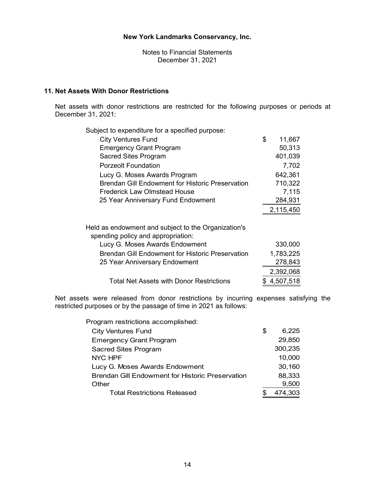Notes to Financial Statements December 31, 2021

# **11. Net Assets With Donor Restrictions**

Net assets with donor restrictions are restricted for the following purposes or periods at December 31, 2021:

| Subject to expenditure for a specified purpose:                                           |              |
|-------------------------------------------------------------------------------------------|--------------|
| <b>City Ventures Fund</b>                                                                 | \$<br>11,667 |
| <b>Emergency Grant Program</b>                                                            | 50,313       |
| <b>Sacred Sites Program</b>                                                               | 401,039      |
| Porzeolt Foundation                                                                       | 7,702        |
| Lucy G. Moses Awards Program                                                              | 642,361      |
| <b>Brendan Gill Endowment for Historic Preservation</b>                                   | 710,322      |
| Frederick Law Olmstead House                                                              | 7,115        |
| 25 Year Anniversary Fund Endowment                                                        | 284,931      |
|                                                                                           | 2,115,450    |
| Held as endowment and subject to the Organization's<br>spending policy and appropriation: |              |
| Lucy G. Moses Awards Endowment                                                            | 330,000      |
| <b>Brendan Gill Endowment for Historic Preservation</b>                                   | 1,783,225    |
| 25 Year Anniversary Endowment                                                             | 278,843      |
|                                                                                           | 2,392,068    |
| Total Net Assets with Donor Restrictions                                                  | 4,507,518    |
|                                                                                           |              |

Net assets were released from donor restrictions by incurring expenses satisfying the restricted purposes or by the passage of time in 2021 as follows:

Program restrictions accomplished:

| <b>City Ventures Fund</b>                               | \$<br>6,225 |
|---------------------------------------------------------|-------------|
| <b>Emergency Grant Program</b>                          | 29,850      |
| <b>Sacred Sites Program</b>                             | 300,235     |
| <b>NYC HPF</b>                                          | 10,000      |
| Lucy G. Moses Awards Endowment                          | 30,160      |
| <b>Brendan Gill Endowment for Historic Preservation</b> | 88,333      |
| Other                                                   | 9,500       |
| <b>Total Restrictions Released</b>                      | 474,303     |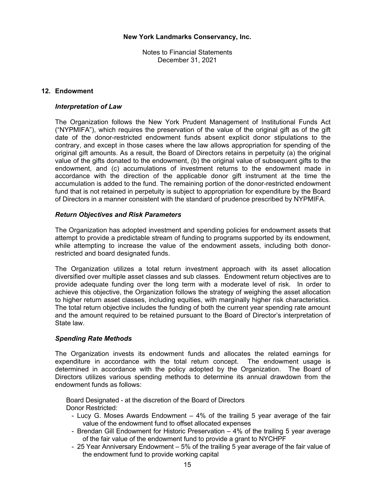# **12. Endowment**

#### *Interpretation of Law*

The Organization follows the New York Prudent Management of Institutional Funds Act ("NYPMIFA"), which requires the preservation of the value of the original gift as of the gift date of the donor-restricted endowment funds absent explicit donor stipulations to the contrary, and except in those cases where the law allows appropriation for spending of the original gift amounts. As a result, the Board of Directors retains in perpetuity (a) the original value of the gifts donated to the endowment, (b) the original value of subsequent gifts to the endowment, and (c) accumulations of investment returns to the endowment made in accordance with the direction of the applicable donor gift instrument at the time the accumulation is added to the fund. The remaining portion of the donor-restricted endowment fund that is not retained in perpetuity is subject to appropriation for expenditure by the Board of Directors in a manner consistent with the standard of prudence prescribed by NYPMIFA.

# *Return Objectives and Risk Parameters*

The Organization has adopted investment and spending policies for endowment assets that attempt to provide a predictable stream of funding to programs supported by its endowment, while attempting to increase the value of the endowment assets, including both donorrestricted and board designated funds.

The Organization utilizes a total return investment approach with its asset allocation diversified over multiple asset classes and sub classes. Endowment return objectives are to provide adequate funding over the long term with a moderate level of risk. In order to achieve this objective, the Organization follows the strategy of weighing the asset allocation to higher return asset classes, including equities, with marginally higher risk characteristics. The total return objective includes the funding of both the current year spending rate amount and the amount required to be retained pursuant to the Board of Director's interpretation of State law.

#### *Spending Rate Methods*

The Organization invests its endowment funds and allocates the related earnings for expenditure in accordance with the total return concept. The endowment usage is determined in accordance with the policy adopted by the Organization. The Board of Directors utilizes various spending methods to determine its annual drawdown from the endowment funds as follows:

 Board Designated - at the discretion of the Board of Directors Donor Restricted:

- Lucy G. Moses Awards Endowment 4% of the trailing 5 year average of the fair value of the endowment fund to offset allocated expenses
- Brendan Gill Endowment for Historic Preservation 4% of the trailing 5 year average of the fair value of the endowment fund to provide a grant to NYCHPF
- 25 Year Anniversary Endowment 5% of the trailing 5 year average of the fair value of the endowment fund to provide working capital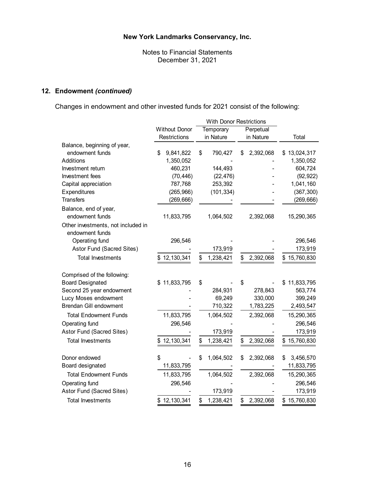Notes to Financial Statements December 31, 2021

# **12. Endowment** *(continued)*

Changes in endowment and other invested funds for 2021 consist of the following:

|                                    |                      | <b>With Donor Restrictions</b> |                 |                  |
|------------------------------------|----------------------|--------------------------------|-----------------|------------------|
|                                    | <b>Without Donor</b> | Temporary                      | Perpetual       |                  |
|                                    | Restrictions         | in Nature                      | in Nature       | Total            |
| Balance, beginning of year,        |                      |                                |                 |                  |
| endowment funds                    | \$<br>9,841,822      | \$<br>790,427                  | 2,392,068<br>\$ | \$13,024,317     |
| Additions                          | 1,350,052            |                                |                 | 1,350,052        |
| Investment return                  | 460,231              | 144,493                        |                 | 604,724          |
| Investment fees                    | (70, 446)            | (22, 476)                      |                 | (92, 922)        |
| Capital appreciation               | 787,768              | 253,392                        |                 | 1,041,160        |
| Expenditures                       | (265, 966)           | (101, 334)                     |                 | (367, 300)       |
| <b>Transfers</b>                   | (269, 666)           |                                |                 | (269, 666)       |
| Balance, end of year,              |                      |                                |                 |                  |
| endowment funds                    | 11,833,795           | 1,064,502                      | 2,392,068       | 15,290,365       |
| Other investments, not included in |                      |                                |                 |                  |
| endowment funds                    |                      |                                |                 |                  |
| Operating fund                     | 296,546              |                                |                 | 296,546          |
| Astor Fund (Sacred Sites)          |                      | 173,919                        |                 | 173,919          |
| <b>Total Investments</b>           | 12, 130, 341         | \$<br>1,238,421                | 2,392,068<br>\$ | \$15,760,830     |
|                                    |                      |                                |                 |                  |
| Comprised of the following:        |                      |                                |                 |                  |
| <b>Board Designated</b>            | \$11,833,795         | \$                             | \$              | 11,833,795<br>S  |
| Second 25 year endowment           |                      | 284,931                        | 278,843         | 563,774          |
| Lucy Moses endowment               |                      | 69,249                         | 330,000         | 399,249          |
| <b>Brendan Gill endowment</b>      |                      | 710,322                        | 1,783,225       | 2,493,547        |
| <b>Total Endowment Funds</b>       | 11,833,795           | 1,064,502                      | 2,392,068       | 15,290,365       |
| Operating fund                     | 296,546              |                                |                 | 296,546          |
| Astor Fund (Sacred Sites)          |                      | 173,919                        |                 | 173,919          |
| <b>Total Investments</b>           | \$12,130,341         | \$<br>1,238,421                | \$<br>2,392,068 | 15,760,830<br>\$ |
|                                    |                      |                                |                 |                  |
| Donor endowed                      | \$                   | \$<br>1,064,502                | \$<br>2,392,068 | \$<br>3,456,570  |
| Board designated                   | 11,833,795           |                                |                 | 11,833,795       |
| <b>Total Endowment Funds</b>       | 11,833,795           | 1,064,502                      | 2,392,068       | 15,290,365       |
| Operating fund                     | 296,546              |                                |                 | 296,546          |
| Astor Fund (Sacred Sites)          |                      | 173,919                        |                 | 173,919          |
| <b>Total Investments</b>           | \$12,130,341         | \$<br>1,238,421                | \$<br>2,392,068 | \$15,760,830     |
|                                    |                      |                                |                 |                  |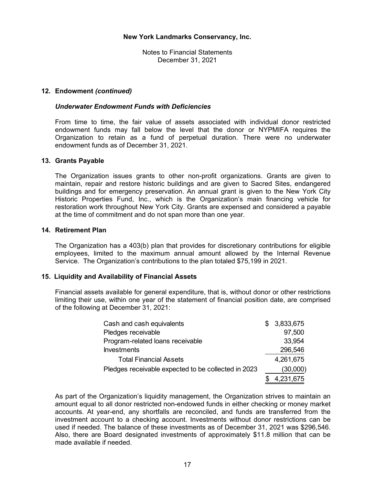# **12. Endowment** *(continued)*

#### *Underwater Endowment Funds with Deficiencies*

From time to time, the fair value of assets associated with individual donor restricted endowment funds may fall below the level that the donor or NYPMIFA requires the Organization to retain as a fund of perpetual duration. There were no underwater endowment funds as of December 31, 2021.

#### **13. Grants Payable**

The Organization issues grants to other non-profit organizations. Grants are given to maintain, repair and restore historic buildings and are given to Sacred Sites, endangered buildings and for emergency preservation. An annual grant is given to the New York City Historic Properties Fund, Inc., which is the Organization's main financing vehicle for restoration work throughout New York City. Grants are expensed and considered a payable at the time of commitment and do not span more than one year.

#### **14. Retirement Plan**

The Organization has a 403(b) plan that provides for discretionary contributions for eligible employees, limited to the maximum annual amount allowed by the Internal Revenue Service. The Organization's contributions to the plan totaled \$75,199 in 2021.

#### **15. Liquidity and Availability of Financial Assets**

Financial assets available for general expenditure, that is, without donor or other restrictions limiting their use, within one year of the statement of financial position date, are comprised of the following at December 31, 2021:

| Cash and cash equivalents                           | \$. | 3,833,675 |
|-----------------------------------------------------|-----|-----------|
| Pledges receivable                                  |     | 97,500    |
| Program-related loans receivable                    |     | 33,954    |
| <b>Investments</b>                                  |     | 296,546   |
| <b>Total Financial Assets</b>                       |     | 4,261,675 |
| Pledges receivable expected to be collected in 2023 |     | (30,000)  |
|                                                     |     | 4,231,675 |

As part of the Organization's liquidity management, the Organization strives to maintain an amount equal to all donor restricted non-endowed funds in either checking or money market accounts. At year-end, any shortfalls are reconciled, and funds are transferred from the investment account to a checking account. Investments without donor restrictions can be used if needed. The balance of these investments as of December 31, 2021 was \$296,546. Also, there are Board designated investments of approximately \$11.8 million that can be made available if needed.